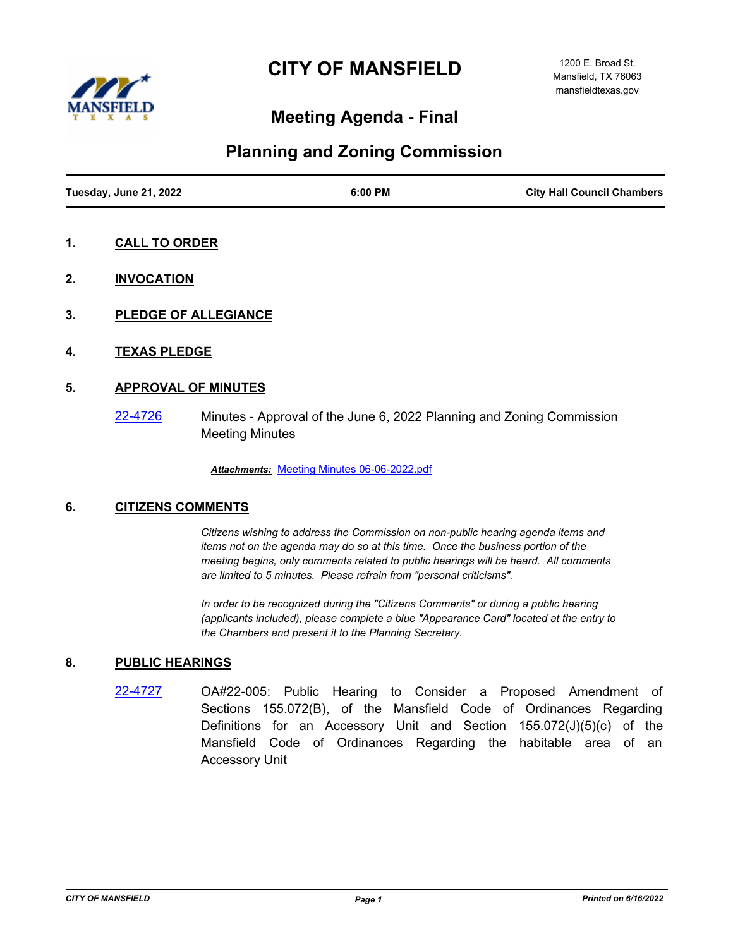# **CITY OF MANSFIELD**



## **Meeting Agenda - Final**

## **Planning and Zoning Commission**

- **1. CALL TO ORDER**
- **2. INVOCATION**
- **3. PLEDGE OF ALLEGIANCE**
- **4. TEXAS PLEDGE**

## **5. APPROVAL OF MINUTES**

[22-4726](http://mansfield.legistar.com/gateway.aspx?m=l&id=/matter.aspx?key=8841) Minutes - Approval of the June 6, 2022 Planning and Zoning Commission Meeting Minutes

*Attachments:* [Meeting Minutes 06-06-2022.pdf](http://Mansfield.legistar.com/gateway.aspx?M=F&ID=186adabb-6c17-4ff5-b800-5ecd8f2de35e.pdf)

## **6. CITIZENS COMMENTS**

*Citizens wishing to address the Commission on non-public hearing agenda items and items not on the agenda may do so at this time. Once the business portion of the meeting begins, only comments related to public hearings will be heard. All comments are limited to 5 minutes. Please refrain from "personal criticisms".*

*In order to be recognized during the "Citizens Comments" or during a public hearing (applicants included), please complete a blue "Appearance Card" located at the entry to the Chambers and present it to the Planning Secretary.*

## **8. PUBLIC HEARINGS**

[22-4727](http://mansfield.legistar.com/gateway.aspx?m=l&id=/matter.aspx?key=8842) OA#22-005: Public Hearing to Consider a Proposed Amendment of Sections 155.072(B), of the Mansfield Code of Ordinances Regarding Definitions for an Accessory Unit and Section 155.072(J)(5)(c) of the Mansfield Code of Ordinances Regarding the habitable area of an Accessory Unit